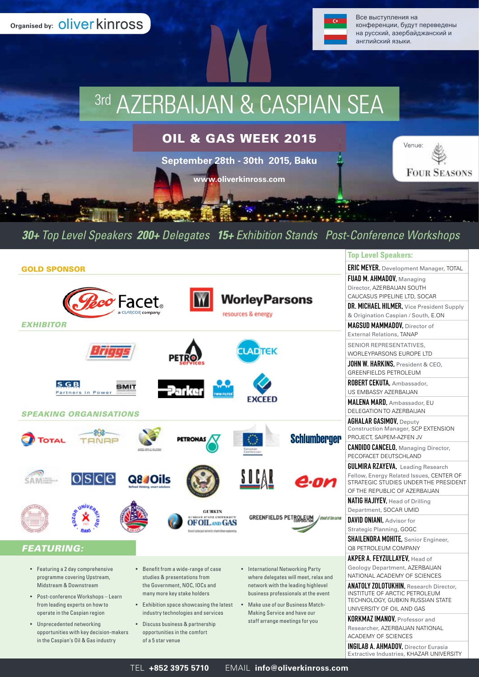**Organised by: Oliver kinross** 



Все выступления на конференции, будут переведены на русский, азербайджанский и английский языки.

# 3rd AZERBAIJAN & CASPIAN SEA

OIL & GAS WEEK 2015

**September 28th - 30th 2015, Baku** 

**www.oliverkinross.com**



### *30+ Top Level Speakers 200+ Delegates 15+ Exhibition Stands Post-Conference Workshops*

|                                                                                                                                                                                                                                                                                                                           | <b>Top Level Speakers:</b>                                                                                                                                                                                         |
|---------------------------------------------------------------------------------------------------------------------------------------------------------------------------------------------------------------------------------------------------------------------------------------------------------------------------|--------------------------------------------------------------------------------------------------------------------------------------------------------------------------------------------------------------------|
| <b>GOLD SPONSOR</b>                                                                                                                                                                                                                                                                                                       | <b>ERIC MEYER, Development Manager, TOTAL</b>                                                                                                                                                                      |
| <b>WorleyParsons</b><br>Zco Facet.<br>resources & energy<br><i><b>EXHIBITOR</b></i>                                                                                                                                                                                                                                       | FUAD M. AHMADOV, Managing<br>Director, AZERBAIJAN SOUTH<br>CAUCASUS PIPELINE LTD, SOCAR<br>DR. MICHAEL HILMER, Vice President Supply<br>& Origination Caspian / South, E.ON<br><b>MAGSUD MAMMADOV.</b> Director of |
|                                                                                                                                                                                                                                                                                                                           | <b>External Relations, TANAP</b>                                                                                                                                                                                   |
|                                                                                                                                                                                                                                                                                                                           | SENIOR REPRESENTATIVES,<br>WORLEYPARSONS EUROPE LTD                                                                                                                                                                |
|                                                                                                                                                                                                                                                                                                                           | JOHN W. HARKINS, President & CEO,<br><b>GREENFIELDS PETROLEUM</b>                                                                                                                                                  |
| SGB<br>SMIT<br>Partners in Power                                                                                                                                                                                                                                                                                          | ROBERT CEKUTA, Ambassador,<br>US EMBASSY AZERBAIJAN                                                                                                                                                                |
| <b>EXCEED</b><br><b>SPEAKING ORGANISATIONS</b>                                                                                                                                                                                                                                                                            | <b>MALENA MARD.</b> Ambassador, EU<br>DELEGATION TO AZERBAIJAN                                                                                                                                                     |
| <b>Schlumberger</b>                                                                                                                                                                                                                                                                                                       | <b>AGHALAR GASIMOV, Deputy</b><br>Construction Manager, SCP EXTENSION<br>PROJECT, SAIPEM-AZFEN JV                                                                                                                  |
|                                                                                                                                                                                                                                                                                                                           | <b>CANDIDO CANCELO, Managing Director,</b><br>PECOFACET DEUTSCHLAND                                                                                                                                                |
| loisiclei<br>Q8#Oils                                                                                                                                                                                                                                                                                                      | <b>GULMIRA RZAYEVA, Leading Research</b><br>Fellow, Energy Related Issues, CENTER OF<br>STRATEGIC STUDIES UNDER THE PRESIDENT<br>OF THE REPUBLIC OF AZERBAIJAN                                                     |
| GUBKIN<br><b>RUSSIAN STATE UNIVERSITY</b><br><b>GREENFIELDS PE</b><br>/ stand of the curve<br><b>OIL AND GAS</b>                                                                                                                                                                                                          | NATIG HAJIYEV, Head of Drilling<br>Department, SOCAR UMID<br>DAVID ONIANI. Advisor for                                                                                                                             |
|                                                                                                                                                                                                                                                                                                                           | Strategic Planning, GOGC                                                                                                                                                                                           |
| <b>FEATURING:</b>                                                                                                                                                                                                                                                                                                         | <b>SHAILENDRA MOHITE, Senior Engineer,</b><br>Q8 PETROLEUM COMPANY                                                                                                                                                 |
| • Featuring a 2 day comprehensive<br>• Benefit from a wide-range of case<br>• International Networking Party<br>programme covering Upstream,<br>studies & presentations from<br>where delegates will meet, relax and                                                                                                      | AKPER A. FEYZULLAYEV, Head of<br>Geology Department, AZERBAIJAN<br>NATIONAL ACADEMY OF SCIENCES                                                                                                                    |
| Midstream & Downstream<br>the Government, NOC, IOCs and<br>network with the leading highlevel<br>many more key stake holders<br>business professionals at the event<br>• Post-conference Workshops-Learn<br>from leading experts on how to<br>• Exhibition space showcasing the latest<br>Make use of our Business Match- | <b>ANATOLY ZOLOTUKHIN, Research Director,</b><br>INSTITUTE OF ARCTIC PETROLEUM<br>TECHNOLOGY, GUBKIN RUSSIAN STATE                                                                                                 |
| operate in the Caspian region<br>industry technologies and services<br>Making Service and have our                                                                                                                                                                                                                        | UNIVERSITY OF OIL AND GAS                                                                                                                                                                                          |
| staff arrange meetings for you<br>• Unprecedented networking<br>• Discuss business & partnership                                                                                                                                                                                                                          | <b>KORKMAZ IMANOV, Professor and</b><br>Researcher, AZERBAIJAN NATIONAL                                                                                                                                            |
| opportunities with key decision-makers<br>opportunities in the comfort                                                                                                                                                                                                                                                    | ACADEMY OF SCIENCES                                                                                                                                                                                                |
| in the Caspian's Oil & Gas industry<br>of a 5 star venue                                                                                                                                                                                                                                                                  | <b>INGILAB A. AHMADOV, Director Eurasia</b><br>Extractive Industries, KHAZAR UNIVERSITY                                                                                                                            |
| EMAIL info@oliverkinross.com<br>TEL +852 3975 5710                                                                                                                                                                                                                                                                        |                                                                                                                                                                                                                    |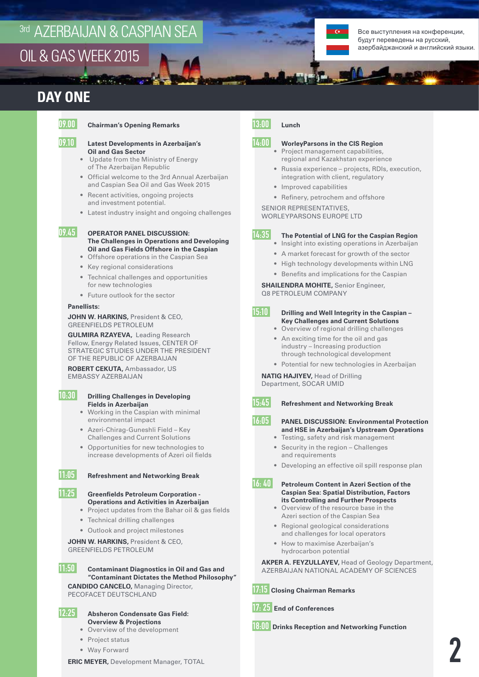# <sup>3rd</sup> AZERBAIJAN & CASPIAN SEA

 $\ldots$ 

Все выступления на конференции, будут переведены на русский, азербайджанский и английский языки.

### OIL & GAS WEEK 2015

### **DAY ONE**

#### 09.00 **Chairman's Opening Remarks**

#### 09.10 **Latest Developments in Azerbaijan's Oil and Gas Sector**

- Update from the Ministry of Energy of The Azerbaijan Republic
- Official welcome to the 3rd Annual Azerbaijan and Caspian Sea Oil and Gas Week 2015
- Recent activities, ongoing projects and investment potential.
- Latest industry insight and ongoing challenges

#### 09.45 **OPERATOR PANEL DISCUSSION: The Challenges in Operations and Developing Oil and Gas Fields Offshore in the Caspian**

- Offshore operations in the Caspian Sea
- Key regional considerations
- Technical challenges and opportunities for new technologies
- Future outlook for the sector

#### **Panellists:**

**JOHN W. HARKINS, President & CEO,** GREENFIELDS PETROLEUM

**GULMIRA RZAYEVA,** Leading Research Fellow, Energy Related Issues, CENTER OF STRATEGIC STUDIES UNDER THE PRESIDENT OF THE REPUBLIC OF AZERBAIJAN

**ROBERT CEKUTA,** Ambassador, US EMBASSY AZERBAIJAN

#### 10:30 **Drilling Challenges in Developing Fields in Azerbaijan**

- Working in the Caspian with minimal environmental impact
- Azeri-Chirag-Guneshli Field Key Challenges and Current Solutions
- Opportunities for new technologies to increase developments of Azeri oil fields

11:05 **Refreshment and Networking Break**



11:25 **Greenfields Petroleum Corporation -**

- **Operations and Activities in Azerbaijan** • Project updates from the Bahar oil & gas fields
- Technical drilling challenges
- Outlook and project milestones

#### **JOHN W. HARKINS, President & CEO,** GREENFIELDS PETROLEUM

11:50 **Contaminant Diagnostics in Oil and Gas and "Contaminant Dictates the Method Philosophy"**

**CANDIDO CANCELO,** Managing Director, PECOFACET DEUTSCHLAND

#### 12:25 **Absheron Condensate Gas Field: Overview & Projections**

- Overview of the development
- Project status
- Way Forward

#### **ERIC MEYER,** Development Manager, TOTAL

#### 13:00 **Lunch**

#### 14:00 **WorleyParsons in the CIS Region**

- Project management capabilities, regional and Kazakhstan experience
- Russia experience projects, RDIs, execution, integration with client, regulatory
- Improved capabilities
- Refinery, petrochem and offshore

SENIOR REPRESENTATIVES,

WORLEYPARSONS EUROPE LTD

#### 14:35 **The Potential of LNG for the Caspian Region**

- Insight into existing operations in Azerbaijan
- A market forecast for growth of the sector
- High technology developments within LNG
- Benefits and implications for the Caspian

**SHAILENDRA MOHITE,** Senior Engineer, Q8 PETROLEUM COMPANY

#### 15:10 **Drilling and Well Integrity in the Caspian – Key Challenges and Current Solutions**

- Overview of regional drilling challenges
- An exciting time for the oil and gas industry – Increasing production through technological development
- Potential for new technologies in Azerbaijan

#### **NATIG HAJIYEV,** Head of Drilling

Department, SOCAR UMID

#### 15:45 **Refreshment and Networking Break**

#### 16:05 **PANEL DISCUSSION: Environmental Protection and HSE in Azerbaijan's Upstream Operations**

- Testing, safety and risk management
- Security in the region Challenges and requirements
- Developing an effective oil spill response plan

#### 16: 40 **Petroleum Content in Azeri Section of the Caspian Sea: Spatial Distribution, Factors its Controlling and Further Prospects**

- Overview of the resource base in the Azeri section of the Caspian Sea
- Regional geological considerations and challenges for local operators
- How to maximise Azerbaijan's hydrocarbon potential

**AKPER A. FEYZULLAYEV,** Head of Geology Department, AZERBAIJAN NATIONAL ACADEMY OF SCIENCES

17:15 **Closing Chairman Remarks**

17: 25 **End of Conferences**

18:00 **Drinks Reception and Networking Function**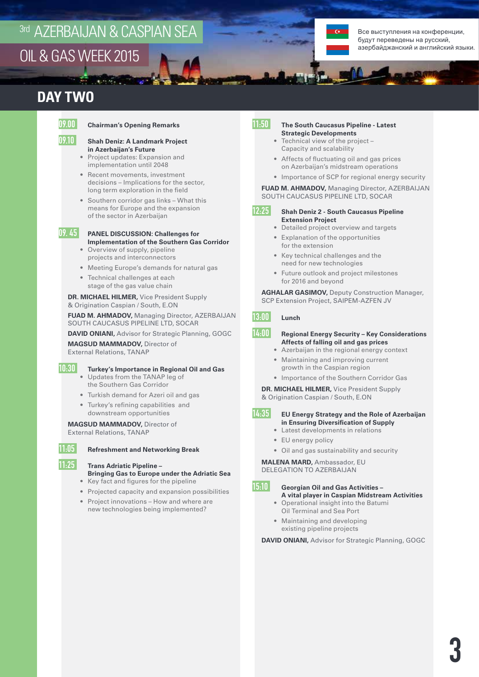### <sup>3rd</sup> AZERBAIJAN & CASPIAN SEA OIL & GAS WEEK 2015

 $\overline{1}$ 

Все выступления на конференции, будут переведены на русский, азербайджанский и английский языки.

### **DAY TWO**

#### 09.00 **Chairman's Opening Remarks**

#### 09.10 **Shah Deniz: A Landmark Project in Azerbaijan's Future**

- Project updates: Expansion and implementation until 2048
- Recent movements, investment decisions – Implications for the sector, long term exploration in the field
- Southern corridor gas links What this means for Europe and the expansion of the sector in Azerbaijan

#### 09. 45 **PANEL DISCUSSION: Challenges for Implementation of the Southern Gas Corridor**

- Overview of supply, pipeline projects and interconnectors
- Meeting Europe's demands for natural gas
- Technical challenges at each stage of the gas value chain

**DR. MICHAEL HILMER,** Vice President Supply & Origination Caspian / South, E.ON

**FUAD M. AHMADOV,** Managing Director, AZERBAIJAN SOUTH CAUCASUS PIPELINE LTD, SOCAR

**DAVID ONIANI,** Advisor for Strategic Planning, GOGC **MAGSUD MAMMADOV,** Director of

External Relations, TANAP

#### 10:30 **Turkey's Importance in Regional Oil and Gas**

- Updates from the TANAP leg of the Southern Gas Corridor
- Turkish demand for Azeri oil and gas
- Turkey's refining capabilities and downstream opportunities

**MAGSUD MAMMADOV,** Director of External Relations, TANAP



#### 11:05 **Refreshment and Networking Break**

#### 11:25 **Trans Adriatic Pipeline –**

**Bringing Gas to Europe under the Adriatic Sea**

- Key fact and figures for the pipeline
- Projected capacity and expansion possibilities
- Project innovations How and where are new technologies being implemented?

#### 11:50 **The South Caucasus Pipeline - Latest Strategic Developments**

- Technical view of the project Capacity and scalability
- Affects of fluctuating oil and gas prices on Azerbaijan's midstream operations
- Importance of SCP for regional energy security

**FUAD M. AHMADOV,** Managing Director, AZERBAIJAN SOUTH CAUCASUS PIPELINE LTD, SOCAR

- 12:25 **Shah Deniz 2 South Caucasus Pipeline Extension Project**
	- Detailed project overview and targets
	- Explanation of the opportunities for the extension
	- Key technical challenges and the need for new technologies
	- Future outlook and project milestones for 2016 and beyond

**AGHALAR GASIMOV,** Deputy Construction Manager, SCP Extension Project, SAIPEM-AZFEN JV

#### 13:00 **Lunch**

#### 14:00 **Regional Energy Security – Key Considerations Affects of falling oil and gas prices**

- Azerbaijan in the regional energy context
- Maintaining and improving current growth in the Caspian region
- Importance of the Southern Corridor Gas

**DR. MICHAEL HILMER,** Vice President Supply & Origination Caspian / South, E.ON

- 14:35 **EU Energy Strategy and the Role of Azerbaijan**
	- **in Ensuring Diversification of Supply** • Latest developments in relations
	- EU energy policy
	-
	- Oil and gas sustainability and security

**MALENA MARD,** Ambassador, EU DELEGATION TO AZERBAIJAN

15:10 **Georgian Oil and Gas Activities – A vital player in Caspian Midstream Activities**

- Operational insight into the Batumi Oil Terminal and Sea Port
- Maintaining and developing existing pipeline projects

**DAVID ONIANI,** Advisor for Strategic Planning, GOGC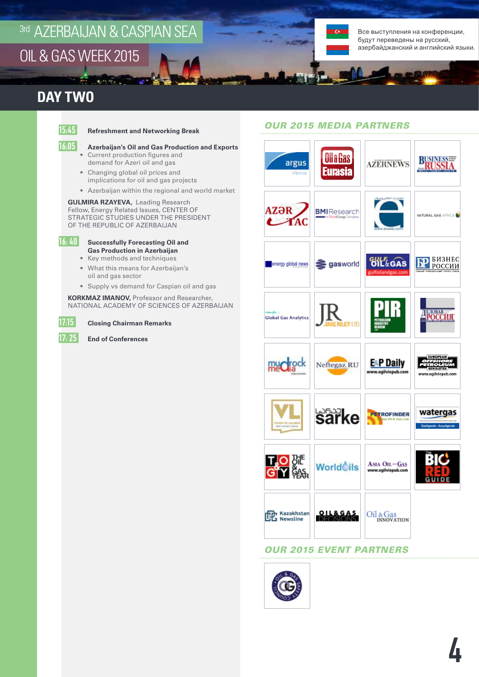## <sup>3rd</sup> AZERBAIJAN & CASPIAN SEA OIL & GAS WEEK 2015

 $\mathbf{z}$  and  $\mathbf{z}$  .

Все выступления на конференции, будут переведены на русский, азербайджанский и английский языки.

### **DAY TWO**

#### 15:45 **Refreshment and Networking Break**

#### 16:05 **Azerbaijan's Oil and Gas Production and Exports**

- Current production figures and demand for Azeri oil and gas
- Changing global oil prices and implications for oil and gas projects
- Azerbaijan within the regional and world market

#### **GULMIRA RZAYEVA,** Leading Research Fellow, Energy Related Issues, CENTER OF STRATEGIC STUDIES UNDER THE PRESIDENT OF THE REPUBLIC OF AZERBAIJAN



#### 16: 40 **Successfully Forecasting Oil and Gas Production in Azerbaijan**

- Key methods and techniques
- What this means for Azerbaijan's oil and gas sector
- Supply vs demand for Caspian oil and gas

**KORKMAZ IMANOV,** Professor and Researcher, NATIONAL ACADEMY OF SCIENCES OF AZERBAIJAN



17:15 **Closing Chairman Remarks**

17: 25 **End of Conferences**

#### *OUR 2015 MEDIA PARTNERS*



#### *OUR 2015 EVENT PARTNERS*

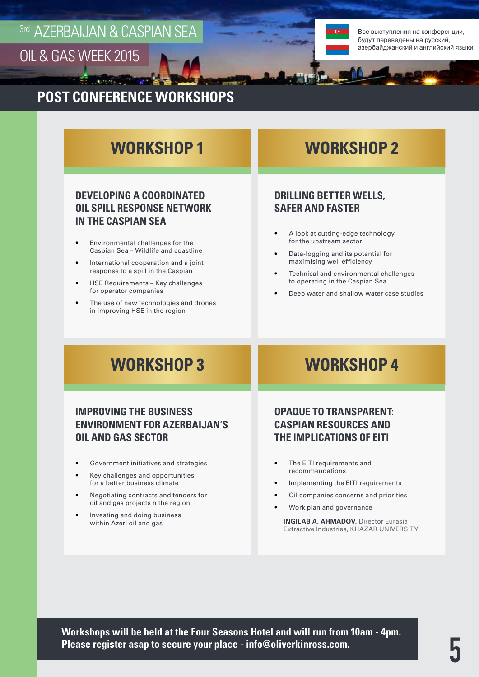

Все выступления на конференции, будут переведены на русский, азербайджанский и английский языки.

### **POST CONFERENCE WORKSHOPS**

Contractor of the

### **WORKSHOP 1**

#### **DEVELOPING A COORDINATED OIL SPILL RESPONSE NETWORK IN THE CASPIAN SEA**

- Environmental challenges for the Caspian Sea – Wildlife and coastline
- International cooperation and a joint response to a spill in the Caspian
- HSE Requirements Key challenges for operator companies
- The use of new technologies and drones in improving HSE in the region

### **WORKSHOP 2**

#### **DRILLING BETTER WELLS, SAFER AND FASTER**

- A look at cutting-edge technology for the upstream sector
- Data-logging and its potential for maximising well efficiency
- Technical and environmental challenges to operating in the Caspian Sea
- Deep water and shallow water case studies

### **WORKSHOP 3**

### **IMPROVING THE BUSINESS ENVIRONMENT FOR AZERBAIJAN'S OIL AND GAS SECTOR**

- Government initiatives and strategies
- Key challenges and opportunities for a better business climate
- Negotiating contracts and tenders for oil and gas projects n the region
- Investing and doing business within Azeri oil and gas

### **WORKSHOP 4**

### **OPAQUE TO TRANSPARENT: CASPIAN RESOURCES AND THE IMPLICATIONS OF EITI**

- The EITI requirements and recommendations
- Implementing the EITI requirements
- Oil companies concerns and priorities
- Work plan and governance

**INGILAB A. AHMADOV, Director Eurasia** Extractive Industries, KHAZAR UNIVERSITY

**Workshops will be held at the Four Seasons Hotel and will run from 10am - 4pm. Please register asap to secure your place - info@oliverkinross.com.**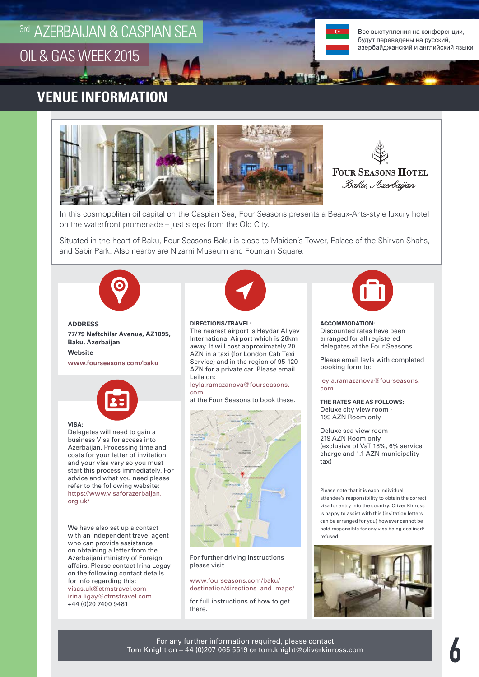## 3rd AZERBAIJAN & CASPIAN SEA<br>OIL & GAS WEEK 2015 OIL & GAS WEEK 2015

 $\mathbf{L} = \mathbf{A}^T \mathbf{L}$ 

**Partie** 

Все выступления на конференции, Все выступления на конференции, будут переведены на русский, будут на русский, азербайджанский и английский языки.

### **VENUE INFORMATION Venue Page**





In this cosmopolitan oil capital on the Caspian Sea, Four Seasons presents a Beaux-Arts-style luxury hotel on the waterfront promenade – just steps from the Old City.

Situated in the heart of Baku, Four Seasons Baku is close to Maiden's Tower, Palace of the Shirvan Shahs, and Sabir Park. Also nearby are Nizami Museum and Fountain Square.



**ADDRESS 77/79 Neftchilar Avenue, AZ1095, Baku, Azerbaijan Website www.fourseasons.com/baku**



#### **VISA:**

Delegates will need to gain a business Visa for access into Azerbaijan. Processing time and costs for your letter of invitation and your visa vary so you must start this process immediately. For advice and what you need please refer to the following website: https://www.visaforazerbaijan. org.uk/

We have also set up a contact with an independent travel agent who can provide assistance on obtaining a letter from the Azerbaijani ministry of Foreign affairs. Please contact Irina Legay on the following contact details for info regarding this: visas.uk@ctmstravel.com irina.ligay@ctmstravel.com +44 (0)20 7400 9481



#### **DIRECTIONS/TRAVEL:**

The nearest airport is Heydar Aliyev International Airport which is 26km away. It will cost approximately 20 AZN in a taxi (for London Cab Taxi Service) and in the region of 95-120 AZN for a private car. Please email Leila on:

leyla.ramazanova@fourseasons. com

at the Four Seasons to book these.



For further driving instructions please visit

www.fourseasons.com/baku/ destination/directions\_and\_maps/

for full instructions of how to get there.



**ACCOMMODATION:**  Discounted rates have been arranged for all registered delegates at the Four Seasons.

Please email leyla with completed booking form to:

leyla.ramazanova@fourseasons. com

**THE RATES ARE AS FOLLOWS:** Deluxe city view room - 199 AZN Room only

Deluxe sea view room - 219 AZN Room only (exclusive of VaT 18%, 6% service charge and 1.1 AZN municipality tax)

Please note that it is each individual attendee's responsibility to obtain the correct visa for entry into the country. Oliver Kinross is happy to assist with this (invitation letters can be arranged for you) however cannot be held responsible for any visa being declined/ refused.

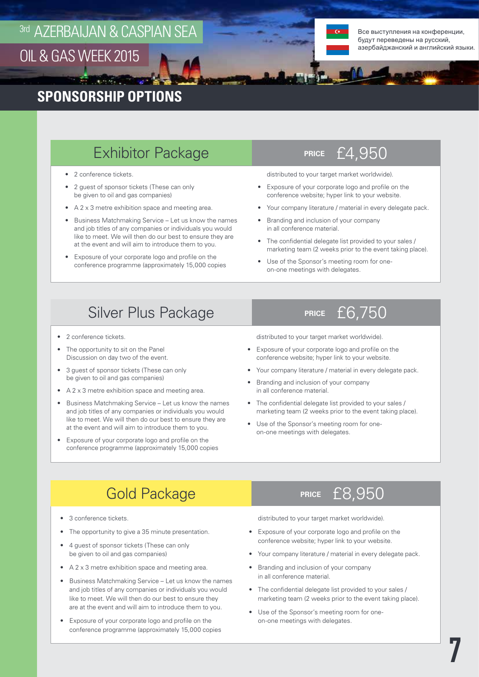

Все выступления на конференции, будут переведены на русский, азербайджанский и английский языки.

### **SPONSORSHIP OPTIONS**

### **Exhibitor Package PRICE 24,950**

- 2 conference tickets.
- 2 guest of sponsor tickets (These can only be given to oil and gas companies)
- A 2 x 3 metre exhibition space and meeting area.
- Business Matchmaking Service Let us know the names and job titles of any companies or individuals you would like to meet. We will then do our best to ensure they are at the event and will aim to introduce them to you.
- Exposure of your corporate logo and profile on the conference programme (approximately 15,000 copies

distributed to your target market worldwide).

- Exposure of your corporate logo and profile on the conference website; hyper link to your website.
- Your company literature / material in every delegate pack.
- Branding and inclusion of your company in all conference material.
- The confidential delegate list provided to your sales / marketing team (2 weeks prior to the event taking place).
- Use of the Sponsor's meeting room for oneon-one meetings with delegates.

### **Silver Plus Package PRICE 25 PRICE £6,750**

- 2 conference tickets.
- The opportunity to sit on the Panel Discussion on day two of the event.
- 3 guest of sponsor tickets (These can only be given to oil and gas companies)
- A 2 x 3 metre exhibition space and meeting area.
- Business Matchmaking Service Let us know the names and job titles of any companies or individuals you would like to meet. We will then do our best to ensure they are at the event and will aim to introduce them to you.
- Exposure of your corporate logo and profile on the conference programme (approximately 15,000 copies

distributed to your target market worldwide).

- Exposure of your corporate logo and profile on the conference website; hyper link to your website.
- Your company literature / material in every delegate pack.
- Branding and inclusion of your company in all conference material.
- The confidential delegate list provided to your sales / marketing team (2 weeks prior to the event taking place).
- Use of the Sponsor's meeting room for oneon-one meetings with delegates.

### **PRICE** Gold Package£8,950

- 3 conference tickets.
- The opportunity to give a 35 minute presentation.
- 4 guest of sponsor tickets (These can only be given to oil and gas companies)
- A 2 x 3 metre exhibition space and meeting area.
- Business Matchmaking Service Let us know the names and job titles of any companies or individuals you would like to meet. We will then do our best to ensure they are at the event and will aim to introduce them to you.
- Exposure of your corporate logo and profile on the conference programme (approximately 15,000 copies



distributed to your target market worldwide).

- Exposure of your corporate logo and profile on the conference website; hyper link to your website.
- Your company literature / material in every delegate pack.
- Branding and inclusion of your company in all conference material.
- The confidential delegate list provided to your sales / marketing team (2 weeks prior to the event taking place).
- Use of the Sponsor's meeting room for oneon-one meetings with delegates.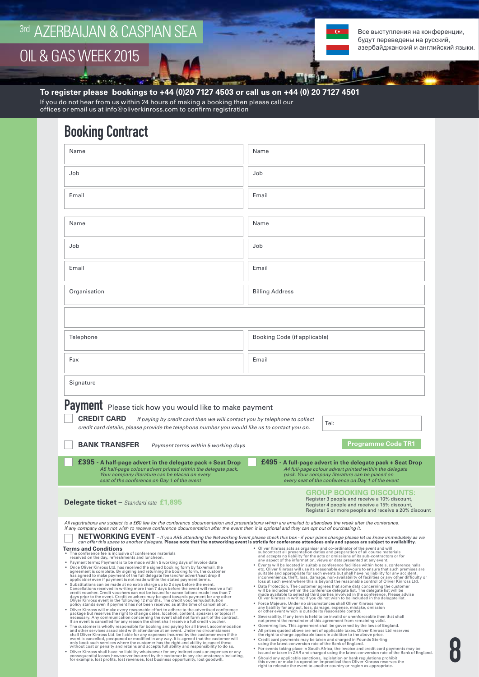$\mathbf{q} = \mathbf{q}^T \mathbf{q}$  ,

 $\mathcal{L}$ 

Все выступления на конференции, будут переведены на русский, азербайджанский и английский языки.

8

**To register please bookings to +44 (0)20 7127 4503 or call us on +44 (0) 20 7127 4501**

If you do not hear from us within 24 hours of making a booking then please call our offices or email us at info@oliverkinross.com to confirm registration

### Booking Contract

| Name                                                                                                                                                                                                                                                                                                                                                                                                                                                                                                                                                                                                                                                                                                                                                                                                                                                                                                                                                                                                                                                                                                                                                                                                                                                                                                                                                                                                                                                                                                                                                                                                                                                                                                                                                                                                                                                                                                                                                                                                                                                                                                                                                                                                                                                                                                                               | Name                                                                                                                                                                                                                                                                                                                                                                                                                                                                                                                                                                                                                                                                                                                                                                                                                                                                                                                                                                                                                                                                                                                                                                                                                                                                                                                                                                                                                                                                                                                                                                                                                                                                                                                                                                                                                                                                                                                                                                                                                                                                                                                                                                |  |
|------------------------------------------------------------------------------------------------------------------------------------------------------------------------------------------------------------------------------------------------------------------------------------------------------------------------------------------------------------------------------------------------------------------------------------------------------------------------------------------------------------------------------------------------------------------------------------------------------------------------------------------------------------------------------------------------------------------------------------------------------------------------------------------------------------------------------------------------------------------------------------------------------------------------------------------------------------------------------------------------------------------------------------------------------------------------------------------------------------------------------------------------------------------------------------------------------------------------------------------------------------------------------------------------------------------------------------------------------------------------------------------------------------------------------------------------------------------------------------------------------------------------------------------------------------------------------------------------------------------------------------------------------------------------------------------------------------------------------------------------------------------------------------------------------------------------------------------------------------------------------------------------------------------------------------------------------------------------------------------------------------------------------------------------------------------------------------------------------------------------------------------------------------------------------------------------------------------------------------------------------------------------------------------------------------------------------------|---------------------------------------------------------------------------------------------------------------------------------------------------------------------------------------------------------------------------------------------------------------------------------------------------------------------------------------------------------------------------------------------------------------------------------------------------------------------------------------------------------------------------------------------------------------------------------------------------------------------------------------------------------------------------------------------------------------------------------------------------------------------------------------------------------------------------------------------------------------------------------------------------------------------------------------------------------------------------------------------------------------------------------------------------------------------------------------------------------------------------------------------------------------------------------------------------------------------------------------------------------------------------------------------------------------------------------------------------------------------------------------------------------------------------------------------------------------------------------------------------------------------------------------------------------------------------------------------------------------------------------------------------------------------------------------------------------------------------------------------------------------------------------------------------------------------------------------------------------------------------------------------------------------------------------------------------------------------------------------------------------------------------------------------------------------------------------------------------------------------------------------------------------------------|--|
|                                                                                                                                                                                                                                                                                                                                                                                                                                                                                                                                                                                                                                                                                                                                                                                                                                                                                                                                                                                                                                                                                                                                                                                                                                                                                                                                                                                                                                                                                                                                                                                                                                                                                                                                                                                                                                                                                                                                                                                                                                                                                                                                                                                                                                                                                                                                    |                                                                                                                                                                                                                                                                                                                                                                                                                                                                                                                                                                                                                                                                                                                                                                                                                                                                                                                                                                                                                                                                                                                                                                                                                                                                                                                                                                                                                                                                                                                                                                                                                                                                                                                                                                                                                                                                                                                                                                                                                                                                                                                                                                     |  |
| Job                                                                                                                                                                                                                                                                                                                                                                                                                                                                                                                                                                                                                                                                                                                                                                                                                                                                                                                                                                                                                                                                                                                                                                                                                                                                                                                                                                                                                                                                                                                                                                                                                                                                                                                                                                                                                                                                                                                                                                                                                                                                                                                                                                                                                                                                                                                                | Job                                                                                                                                                                                                                                                                                                                                                                                                                                                                                                                                                                                                                                                                                                                                                                                                                                                                                                                                                                                                                                                                                                                                                                                                                                                                                                                                                                                                                                                                                                                                                                                                                                                                                                                                                                                                                                                                                                                                                                                                                                                                                                                                                                 |  |
| Email                                                                                                                                                                                                                                                                                                                                                                                                                                                                                                                                                                                                                                                                                                                                                                                                                                                                                                                                                                                                                                                                                                                                                                                                                                                                                                                                                                                                                                                                                                                                                                                                                                                                                                                                                                                                                                                                                                                                                                                                                                                                                                                                                                                                                                                                                                                              | Email                                                                                                                                                                                                                                                                                                                                                                                                                                                                                                                                                                                                                                                                                                                                                                                                                                                                                                                                                                                                                                                                                                                                                                                                                                                                                                                                                                                                                                                                                                                                                                                                                                                                                                                                                                                                                                                                                                                                                                                                                                                                                                                                                               |  |
| Name                                                                                                                                                                                                                                                                                                                                                                                                                                                                                                                                                                                                                                                                                                                                                                                                                                                                                                                                                                                                                                                                                                                                                                                                                                                                                                                                                                                                                                                                                                                                                                                                                                                                                                                                                                                                                                                                                                                                                                                                                                                                                                                                                                                                                                                                                                                               | Name                                                                                                                                                                                                                                                                                                                                                                                                                                                                                                                                                                                                                                                                                                                                                                                                                                                                                                                                                                                                                                                                                                                                                                                                                                                                                                                                                                                                                                                                                                                                                                                                                                                                                                                                                                                                                                                                                                                                                                                                                                                                                                                                                                |  |
| Job                                                                                                                                                                                                                                                                                                                                                                                                                                                                                                                                                                                                                                                                                                                                                                                                                                                                                                                                                                                                                                                                                                                                                                                                                                                                                                                                                                                                                                                                                                                                                                                                                                                                                                                                                                                                                                                                                                                                                                                                                                                                                                                                                                                                                                                                                                                                | Job                                                                                                                                                                                                                                                                                                                                                                                                                                                                                                                                                                                                                                                                                                                                                                                                                                                                                                                                                                                                                                                                                                                                                                                                                                                                                                                                                                                                                                                                                                                                                                                                                                                                                                                                                                                                                                                                                                                                                                                                                                                                                                                                                                 |  |
| Email                                                                                                                                                                                                                                                                                                                                                                                                                                                                                                                                                                                                                                                                                                                                                                                                                                                                                                                                                                                                                                                                                                                                                                                                                                                                                                                                                                                                                                                                                                                                                                                                                                                                                                                                                                                                                                                                                                                                                                                                                                                                                                                                                                                                                                                                                                                              | Email                                                                                                                                                                                                                                                                                                                                                                                                                                                                                                                                                                                                                                                                                                                                                                                                                                                                                                                                                                                                                                                                                                                                                                                                                                                                                                                                                                                                                                                                                                                                                                                                                                                                                                                                                                                                                                                                                                                                                                                                                                                                                                                                                               |  |
| Organisation                                                                                                                                                                                                                                                                                                                                                                                                                                                                                                                                                                                                                                                                                                                                                                                                                                                                                                                                                                                                                                                                                                                                                                                                                                                                                                                                                                                                                                                                                                                                                                                                                                                                                                                                                                                                                                                                                                                                                                                                                                                                                                                                                                                                                                                                                                                       | <b>Billing Address</b>                                                                                                                                                                                                                                                                                                                                                                                                                                                                                                                                                                                                                                                                                                                                                                                                                                                                                                                                                                                                                                                                                                                                                                                                                                                                                                                                                                                                                                                                                                                                                                                                                                                                                                                                                                                                                                                                                                                                                                                                                                                                                                                                              |  |
|                                                                                                                                                                                                                                                                                                                                                                                                                                                                                                                                                                                                                                                                                                                                                                                                                                                                                                                                                                                                                                                                                                                                                                                                                                                                                                                                                                                                                                                                                                                                                                                                                                                                                                                                                                                                                                                                                                                                                                                                                                                                                                                                                                                                                                                                                                                                    |                                                                                                                                                                                                                                                                                                                                                                                                                                                                                                                                                                                                                                                                                                                                                                                                                                                                                                                                                                                                                                                                                                                                                                                                                                                                                                                                                                                                                                                                                                                                                                                                                                                                                                                                                                                                                                                                                                                                                                                                                                                                                                                                                                     |  |
| Telephone                                                                                                                                                                                                                                                                                                                                                                                                                                                                                                                                                                                                                                                                                                                                                                                                                                                                                                                                                                                                                                                                                                                                                                                                                                                                                                                                                                                                                                                                                                                                                                                                                                                                                                                                                                                                                                                                                                                                                                                                                                                                                                                                                                                                                                                                                                                          | Booking Code (if applicable)                                                                                                                                                                                                                                                                                                                                                                                                                                                                                                                                                                                                                                                                                                                                                                                                                                                                                                                                                                                                                                                                                                                                                                                                                                                                                                                                                                                                                                                                                                                                                                                                                                                                                                                                                                                                                                                                                                                                                                                                                                                                                                                                        |  |
| Fax                                                                                                                                                                                                                                                                                                                                                                                                                                                                                                                                                                                                                                                                                                                                                                                                                                                                                                                                                                                                                                                                                                                                                                                                                                                                                                                                                                                                                                                                                                                                                                                                                                                                                                                                                                                                                                                                                                                                                                                                                                                                                                                                                                                                                                                                                                                                | Email                                                                                                                                                                                                                                                                                                                                                                                                                                                                                                                                                                                                                                                                                                                                                                                                                                                                                                                                                                                                                                                                                                                                                                                                                                                                                                                                                                                                                                                                                                                                                                                                                                                                                                                                                                                                                                                                                                                                                                                                                                                                                                                                                               |  |
| Signature                                                                                                                                                                                                                                                                                                                                                                                                                                                                                                                                                                                                                                                                                                                                                                                                                                                                                                                                                                                                                                                                                                                                                                                                                                                                                                                                                                                                                                                                                                                                                                                                                                                                                                                                                                                                                                                                                                                                                                                                                                                                                                                                                                                                                                                                                                                          |                                                                                                                                                                                                                                                                                                                                                                                                                                                                                                                                                                                                                                                                                                                                                                                                                                                                                                                                                                                                                                                                                                                                                                                                                                                                                                                                                                                                                                                                                                                                                                                                                                                                                                                                                                                                                                                                                                                                                                                                                                                                                                                                                                     |  |
| Payment Please tick how you would like to make payment<br><b>CREDIT CARD</b><br>If paying by credit card then we will contact you by telephone to collect<br>Tel:<br>credit card details, please provide the telephone number you would like us to contact you on.<br><b>Programme Code TR1</b><br><b>BANK TRANSFER</b><br>Payment terms within 5 working days                                                                                                                                                                                                                                                                                                                                                                                                                                                                                                                                                                                                                                                                                                                                                                                                                                                                                                                                                                                                                                                                                                                                                                                                                                                                                                                                                                                                                                                                                                                                                                                                                                                                                                                                                                                                                                                                                                                                                                     |                                                                                                                                                                                                                                                                                                                                                                                                                                                                                                                                                                                                                                                                                                                                                                                                                                                                                                                                                                                                                                                                                                                                                                                                                                                                                                                                                                                                                                                                                                                                                                                                                                                                                                                                                                                                                                                                                                                                                                                                                                                                                                                                                                     |  |
| £395 - A half-page advert in the delegate pack + Seat Drop<br>A5 half-page colour advert printed within the delegate pack.<br>Your company literature can be placed on every<br>seat of the conference on Day 1 of the event                                                                                                                                                                                                                                                                                                                                                                                                                                                                                                                                                                                                                                                                                                                                                                                                                                                                                                                                                                                                                                                                                                                                                                                                                                                                                                                                                                                                                                                                                                                                                                                                                                                                                                                                                                                                                                                                                                                                                                                                                                                                                                       | £495 - A full-page advert in the delegate pack + Seat Drop<br>A4 full-page colour advert printed within the delegate<br>pack. Your company literature can be placed on<br>every seat of the conference on Day 1 of the event                                                                                                                                                                                                                                                                                                                                                                                                                                                                                                                                                                                                                                                                                                                                                                                                                                                                                                                                                                                                                                                                                                                                                                                                                                                                                                                                                                                                                                                                                                                                                                                                                                                                                                                                                                                                                                                                                                                                        |  |
| <b>Delegate ticket</b> – Standard rate £1,895                                                                                                                                                                                                                                                                                                                                                                                                                                                                                                                                                                                                                                                                                                                                                                                                                                                                                                                                                                                                                                                                                                                                                                                                                                                                                                                                                                                                                                                                                                                                                                                                                                                                                                                                                                                                                                                                                                                                                                                                                                                                                                                                                                                                                                                                                      | <b>GROUP BOOKING DISCOUNTS:</b><br>Register 3 people and receive a 10% discount,<br>Register 4 people and receive a 15% discount,<br>Register 5 or more people and receive a 20% discount                                                                                                                                                                                                                                                                                                                                                                                                                                                                                                                                                                                                                                                                                                                                                                                                                                                                                                                                                                                                                                                                                                                                                                                                                                                                                                                                                                                                                                                                                                                                                                                                                                                                                                                                                                                                                                                                                                                                                                           |  |
| All registrations are subject to a £60 fee for the conference documentation and presentations which are emailed to attendees the week after the conference.<br>If any company does not wish to receive conference documentation after the event then it is optional and they can opt out of purchasing it.                                                                                                                                                                                                                                                                                                                                                                                                                                                                                                                                                                                                                                                                                                                                                                                                                                                                                                                                                                                                                                                                                                                                                                                                                                                                                                                                                                                                                                                                                                                                                                                                                                                                                                                                                                                                                                                                                                                                                                                                                         | NETWORKING EVENT - If you ARE attending the Networking Event please check this box - if your plans change please let us know immediately as we<br>can offer this space to another delegate. Please note that the networking event is strictly for conference attendees only and spaces are subject to availability.                                                                                                                                                                                                                                                                                                                                                                                                                                                                                                                                                                                                                                                                                                                                                                                                                                                                                                                                                                                                                                                                                                                                                                                                                                                                                                                                                                                                                                                                                                                                                                                                                                                                                                                                                                                                                                                 |  |
| <b>Terms and Conditions</b><br>The conference fee is inclusive of conference materials<br>received on the day, refreshments and luncheon.<br>• Payment terms: Payment is to be made within 5 working days of invoice date<br>. Once Oliver Kinross Ltd. has received the signed booking form by fax/email, the<br>agreement is complete. By signing and returning the booking form, the customer<br>has agreed to make payment of the full delegate fee (and/or advert/seat drop if<br>applicable) even if payment is not made within the stated payment terms.<br>Substitutions can be made at no extra charge up to 2 days before the event.<br>Cancellations received in writing more than 7 days before the event will receive a full<br>credit voucher. Credit vouchers can not be issued for cancellations made less than 7<br>days prior to the event. Credit vouchers may be used towards payment for any other<br>Oliver Kinross event in the following 12 months. The credit voucher/substitution<br>policy stands even if payment has not been received as at the time of cancellation.<br>. Oliver Kinross will make every reasonable effort to adhere to the advertised conference<br>package but reserves the right to change dates, location, content, speakers or topics if<br>necessary. Any communication concerning the event shall not form part of the contract.<br>If an event is cancelled for any reason the client shall receive a full credit voucher.<br>. The customer is wholly responsible for booking and paying for all travel, accommodation<br>and other services associated with attendance at an event. Under no circumstances<br>shall Oliver Kinross Ltd. be liable for any expenses incurred by the customer even if the<br>event is cancelled, postponed or modified in any way. It is agreed that the customer will<br>only book such services where the customer has the right and ability to cancel these<br>without cost or penalty and retains and accepts full ability and responsibility to do so.<br>Oliver Kinross shall have no liability whatsoever for any indirect costs or expenses or any<br>consequential losses howsoever incurred by the customer in any circumstances including,<br>for example, lost profits, lost revenues, lost business opportunity, lost goodwill. | . Oliver Kinross acts as organiser and co-ordinator of the event and will<br>subcontract all presentation duties and preparation of all course materials<br>and accepts no liability for the acts or omissions of its sub-contractors or for<br>any aspect of the information, views or data presented at any event.<br>Events will be located in suitable conference facilities within hotels, conference halls<br>٠<br>etc. Oliver Kinross will use its reasonable endeavours to ensure that such premises are<br>suitable and appropriate for such events but shall have no liability for any accident,<br>inconvenience, theft, loss, damage, non-availability of facilities or any other difficulty or<br>loss at such event where this is beyond the reasonable control of Oliver Kinross Ltd.<br>Data Protection. The customer agrees that some data concerning the customer<br>will be included within the conference delegate list. The delegate list will be<br>made available to selected third parties involved in the conference. Please advise<br>Oliver Kinross in writing if you do not wish to be included in the delegate list.<br>· Force Majeure. Under no circumstances shall Oliver Kinross have<br>any liability for any act, loss, damage, expense, mistake, omission<br>or other event which is outside its reasonable control.<br>Severability. If any term is held to be invalid or unenforceable then that shall<br>not prevent the remainder of this agreement from remaining valid.<br>Governing law. This agreement shall be governed by the laws of England.<br>All prices quoted above are net of applicable taxes. Oliver Kinross Ltd reserves<br>٠<br>the right to charge applicable taxes in addition to the above price.<br>• Credit card payments may be taken and charged in Pounds Sterling<br>using the latest conversion rate of the Bank of England.<br>For events taking place in South Africa, the invoice and credit card payments may be<br>issued or taken in ZAR and charged using the latest conversion rate of the Bank of England.<br>Should any applicable sanctions, legislation or bank regulations prohibit |  |